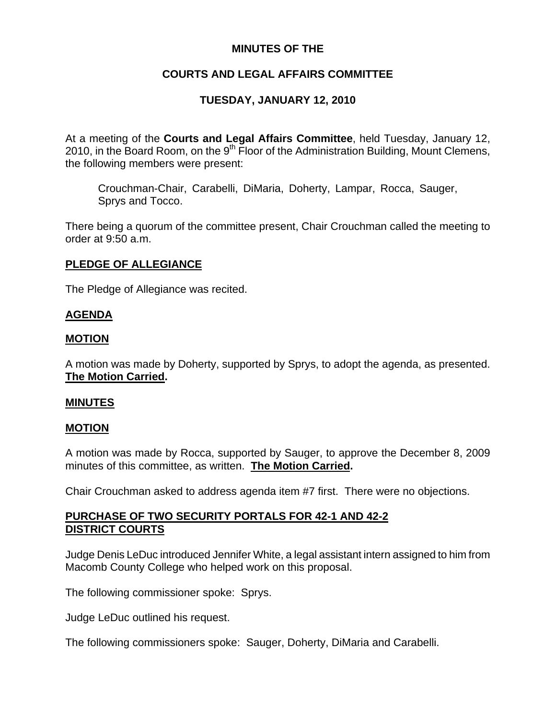# **MINUTES OF THE**

# **COURTS AND LEGAL AFFAIRS COMMITTEE**

## **TUESDAY, JANUARY 12, 2010**

At a meeting of the **Courts and Legal Affairs Committee**, held Tuesday, January 12, 2010, in the Board Room, on the  $9<sup>th</sup>$  Floor of the Administration Building, Mount Clemens, the following members were present:

Crouchman-Chair, Carabelli, DiMaria, Doherty, Lampar, Rocca, Sauger, Sprys and Tocco.

There being a quorum of the committee present, Chair Crouchman called the meeting to order at 9:50 a.m.

### **PLEDGE OF ALLEGIANCE**

The Pledge of Allegiance was recited.

### **AGENDA**

#### **MOTION**

A motion was made by Doherty, supported by Sprys, to adopt the agenda, as presented. **The Motion Carried.** 

#### **MINUTES**

#### **MOTION**

A motion was made by Rocca, supported by Sauger, to approve the December 8, 2009 minutes of this committee, as written. **The Motion Carried.** 

Chair Crouchman asked to address agenda item #7 first. There were no objections.

## **PURCHASE OF TWO SECURITY PORTALS FOR 42-1 AND 42-2 DISTRICT COURTS**

Judge Denis LeDuc introduced Jennifer White, a legal assistant intern assigned to him from Macomb County College who helped work on this proposal.

The following commissioner spoke: Sprys.

Judge LeDuc outlined his request.

The following commissioners spoke: Sauger, Doherty, DiMaria and Carabelli.